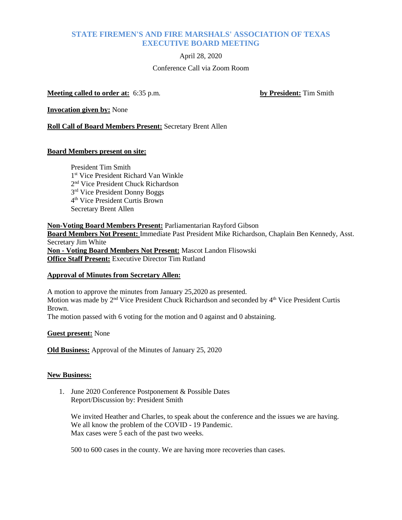# **STATE FIREMEN'S AND FIRE MARSHALS' ASSOCIATION OF TEXAS EXECUTIVE BOARD MEETING**

April 28, 2020

## Conference Call via Zoom Room

**Meeting called to order at:** 6:35 p.m. **by President:** Tim Smith

**Invocation given by:** None

**Roll Call of Board Members Present:** Secretary Brent Allen

## **Board Members present on site:**

President Tim Smith 1<sup>st</sup> Vice President Richard Van Winkle 2nd Vice President Chuck Richardson 3rd Vice President Donny Boggs 4th Vice President Curtis Brown Secretary Brent Allen

**Non-Voting Board Members Present:** Parliamentarian Rayford Gibson **Board Members Not Present:** Immediate Past President Mike Richardson, Chaplain Ben Kennedy, Asst. Secretary Jim White **Non - Voting Board Members Not Present:** Mascot Landon Flisowski **Office Staff Present:** Executive Director Tim Rutland

#### **Approval of Minutes from Secretary Allen:**

A motion to approve the minutes from January 25,2020 as presented. Motion was made by 2<sup>nd</sup> Vice President Chuck Richardson and seconded by 4<sup>th</sup> Vice President Curtis Brown.

The motion passed with 6 voting for the motion and 0 against and 0 abstaining.

#### **Guest present:** None

**Old Business:** Approval of the Minutes of January 25, 2020

#### **New Business:**

1. June 2020 Conference Postponement & Possible Dates Report/Discussion by: President Smith

We invited Heather and Charles, to speak about the conference and the issues we are having. We all know the problem of the COVID - 19 Pandemic. Max cases were  $\bar{5}$  each of the past two weeks.

500 to 600 cases in the county. We are having more recoveries than cases.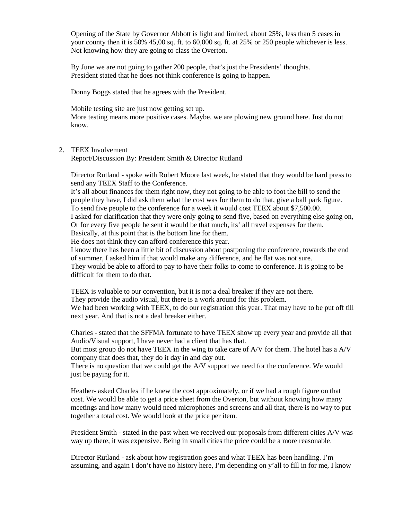Opening of the State by Governor Abbott is light and limited, about 25%, less than 5 cases in your county then it is 50% 45,00 sq. ft. to 60,000 sq. ft. at 25% or 250 people whichever is less. Not knowing how they are going to class the Overton.

By June we are not going to gather 200 people, that's just the Presidents' thoughts. President stated that he does not think conference is going to happen.

Donny Boggs stated that he agrees with the President.

Mobile testing site are just now getting set up.

More testing means more positive cases. Maybe, we are plowing new ground here. Just do not know.

### 2. TEEX Involvement

Report/Discussion By: President Smith & Director Rutland

Director Rutland - spoke with Robert Moore last week, he stated that they would be hard press to send any TEEX Staff to the Conference.

It's all about finances for them right now, they not going to be able to foot the bill to send the people they have, I did ask them what the cost was for them to do that, give a ball park figure. To send five people to the conference for a week it would cost TEEX about \$7,500.00. I asked for clarification that they were only going to send five, based on everything else going on, Or for every five people he sent it would be that much, its' all travel expenses for them. Basically, at this point that is the bottom line for them.

He does not think they can afford conference this year.

I know there has been a little bit of discussion about postponing the conference, towards the end of summer, I asked him if that would make any difference, and he flat was not sure. They would be able to afford to pay to have their folks to come to conference. It is going to be difficult for them to do that.

TEEX is valuable to our convention, but it is not a deal breaker if they are not there. They provide the audio visual, but there is a work around for this problem. We had been working with TEEX, to do our registration this year. That may have to be put off till next year. And that is not a deal breaker either.

Charles - stated that the SFFMA fortunate to have TEEX show up every year and provide all that Audio/Visual support, I have never had a client that has that.

But most group do not have TEEX in the wing to take care of A/V for them. The hotel has a A/V company that does that, they do it day in and day out.

There is no question that we could get the A/V support we need for the conference. We would just be paying for it.

Heather- asked Charles if he knew the cost approximately, or if we had a rough figure on that cost. We would be able to get a price sheet from the Overton, but without knowing how many meetings and how many would need microphones and screens and all that, there is no way to put together a total cost. We would look at the price per item.

President Smith - stated in the past when we received our proposals from different cities A/V was way up there, it was expensive. Being in small cities the price could be a more reasonable.

Director Rutland - ask about how registration goes and what TEEX has been handling. I'm assuming, and again I don't have no history here, I'm depending on y'all to fill in for me, I know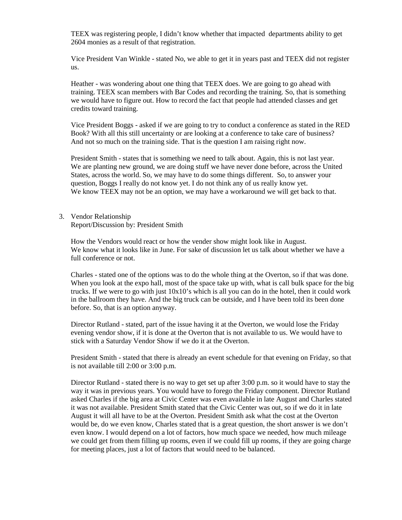TEEX was registering people, I didn't know whether that impacted departments ability to get 2604 monies as a result of that registration.

Vice President Van Winkle - stated No, we able to get it in years past and TEEX did not register us.

Heather - was wondering about one thing that TEEX does. We are going to go ahead with training. TEEX scan members with Bar Codes and recording the training. So, that is something we would have to figure out. How to record the fact that people had attended classes and get credits toward training.

Vice President Boggs - asked if we are going to try to conduct a conference as stated in the RED Book? With all this still uncertainty or are looking at a conference to take care of business? And not so much on the training side. That is the question I am raising right now.

President Smith - states that is something we need to talk about. Again, this is not last year. We are planting new ground, we are doing stuff we have never done before, across the United States, across the world. So, we may have to do some things different. So, to answer your question, Boggs I really do not know yet. I do not think any of us really know yet. We know TEEX may not be an option, we may have a workaround we will get back to that.

3. Vendor Relationship

Report/Discussion by: President Smith

How the Vendors would react or how the vender show might look like in August. We know what it looks like in June. For sake of discussion let us talk about whether we have a full conference or not.

Charles - stated one of the options was to do the whole thing at the Overton, so if that was done. When you look at the expo hall, most of the space take up with, what is call bulk space for the big trucks. If we were to go with just 10x10's which is all you can do in the hotel, then it could work in the ballroom they have. And the big truck can be outside, and I have been told its been done before. So, that is an option anyway.

Director Rutland - stated, part of the issue having it at the Overton, we would lose the Friday evening vendor show, if it is done at the Overton that is not available to us. We would have to stick with a Saturday Vendor Show if we do it at the Overton.

President Smith - stated that there is already an event schedule for that evening on Friday, so that is not available till 2:00 or 3:00 p.m.

Director Rutland - stated there is no way to get set up after 3:00 p.m. so it would have to stay the way it was in previous years. You would have to forego the Friday component. Director Rutland asked Charles if the big area at Civic Center was even available in late August and Charles stated it was not available. President Smith stated that the Civic Center was out, so if we do it in late August it will all have to be at the Overton. President Smith ask what the cost at the Overton would be, do we even know, Charles stated that is a great question, the short answer is we don't even know. I would depend on a lot of factors, how much space we needed, how much mileage we could get from them filling up rooms, even if we could fill up rooms, if they are going charge for meeting places, just a lot of factors that would need to be balanced.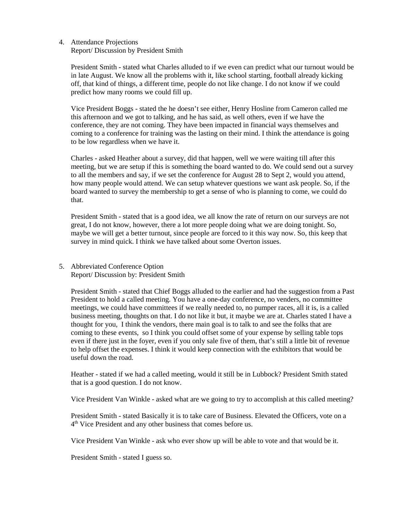4. Attendance Projections

Report/ Discussion by President Smith

President Smith - stated what Charles alluded to if we even can predict what our turnout would be in late August. We know all the problems with it, like school starting, football already kicking off, that kind of things, a different time, people do not like change. I do not know if we could predict how many rooms we could fill up.

Vice President Boggs - stated the he doesn't see either, Henry Hosline from Cameron called me this afternoon and we got to talking, and he has said, as well others, even if we have the conference, they are not coming. They have been impacted in financial ways themselves and coming to a conference for training was the lasting on their mind. I think the attendance is going to be low regardless when we have it.

Charles - asked Heather about a survey, did that happen, well we were waiting till after this meeting, but we are setup if this is something the board wanted to do. We could send out a survey to all the members and say, if we set the conference for August 28 to Sept 2, would you attend, how many people would attend. We can setup whatever questions we want ask people. So, if the board wanted to survey the membership to get a sense of who is planning to come, we could do that.

President Smith - stated that is a good idea, we all know the rate of return on our surveys are not great, I do not know, however, there a lot more people doing what we are doing tonight. So, maybe we will get a better turnout, since people are forced to it this way now. So, this keep that survey in mind quick. I think we have talked about some Overton issues.

5. Abbreviated Conference Option Report/ Discussion by: President Smith

President Smith - stated that Chief Boggs alluded to the earlier and had the suggestion from a Past President to hold a called meeting. You have a one-day conference, no venders, no committee meetings, we could have committees if we really needed to, no pumper races, all it is, is a called business meeting, thoughts on that. I do not like it but, it maybe we are at. Charles stated I have a thought for you, I think the vendors, there main goal is to talk to and see the folks that are coming to these events, so I think you could offset some of your expense by selling table tops even if there just in the foyer, even if you only sale five of them, that's still a little bit of revenue to help offset the expenses. I think it would keep connection with the exhibitors that would be useful down the road.

Heather - stated if we had a called meeting, would it still be in Lubbock? President Smith stated that is a good question. I do not know.

Vice President Van Winkle - asked what are we going to try to accomplish at this called meeting?

President Smith - stated Basically it is to take care of Business. Elevated the Officers, vote on a 4th Vice President and any other business that comes before us.

Vice President Van Winkle - ask who ever show up will be able to vote and that would be it.

President Smith - stated I guess so.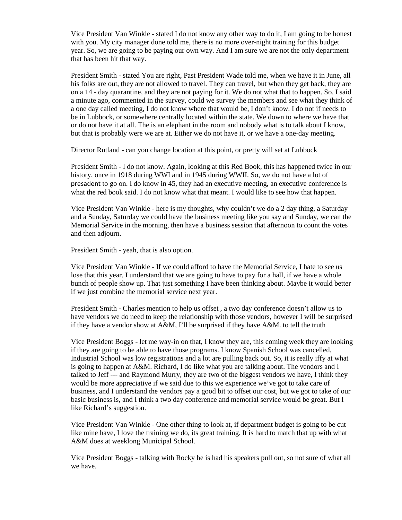Vice President Van Winkle - stated I do not know any other way to do it, I am going to be honest with you. My city manager done told me, there is no more over-night training for this budget year. So, we are going to be paying our own way. And I am sure we are not the only department that has been hit that way.

President Smith - stated You are right, Past President Wade told me, when we have it in June, all his folks are out, they are not allowed to travel. They can travel, but when they get back, they are on a 14 - day quarantine, and they are not paying for it. We do not what that to happen. So, I said a minute ago, commented in the survey, could we survey the members and see what they think of a one day called meeting, I do not know where that would be, I don't know. I do not if needs to be in Lubbock, or somewhere centrally located within the state. We down to where we have that or do not have it at all. The is an elephant in the room and nobody what is to talk about I know, but that is probably were we are at. Either we do not have it, or we have a one-day meeting.

Director Rutland - can you change location at this point, or pretty will set at Lubbock

President Smith - I do not know. Again, looking at this Red Book, this has happened twice in our history, once in 1918 during WWI and in 1945 during WWII. So, we do not have a lot of presadent to go on. I do know in 45, they had an executive meeting, an executive conference is what the red book said. I do not know what that meant. I would like to see how that happen.

Vice President Van Winkle - here is my thoughts, why couldn't we do a 2 day thing, a Saturday and a Sunday, Saturday we could have the business meeting like you say and Sunday, we can the Memorial Service in the morning, then have a business session that afternoon to count the votes and then adjourn.

President Smith - yeah, that is also option.

Vice President Van Winkle - If we could afford to have the Memorial Service, I hate to see us lose that this year. I understand that we are going to have to pay for a hall, if we have a whole bunch of people show up. That just something I have been thinking about. Maybe it would better if we just combine the memorial service next year.

President Smith - Charles mention to help us offset , a two day conference doesn't allow us to have vendors we do need to keep the relationship with those vendors, however I will be surprised if they have a vendor show at  $A&M$ , I'll be surprised if they have  $A&M$ . to tell the truth

Vice President Boggs - let me way-in on that, I know they are, this coming week they are looking if they are going to be able to have those programs. I know Spanish School was cancelled, Industrial School was low registrations and a lot are pulling back out. So, it is really iffy at what is going to happen at A&M. Richard, I do like what you are talking about. The vendors and I talked to Jeff --- and Raymond Murry, they are two of the biggest vendors we have, I think they would be more appreciative if we said due to this we experience we've got to take care of business, and I understand the vendors pay a good bit to offset our cost, but we got to take of our basic business is, and I think a two day conference and memorial service would be great. But I like Richard's suggestion.

Vice President Van Winkle - One other thing to look at, if department budget is going to be cut like mine have, I love the training we do, its great training. It is hard to match that up with what A&M does at weeklong Municipal School.

Vice President Boggs - talking with Rocky he is had his speakers pull out, so not sure of what all we have.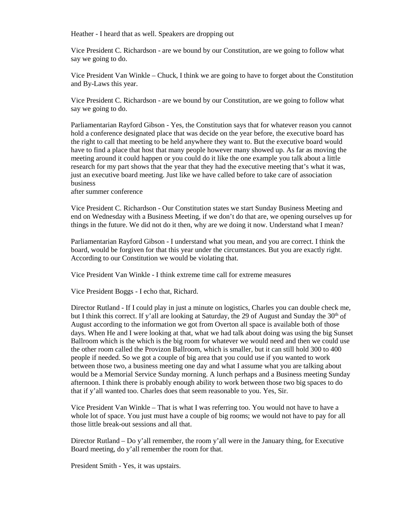Heather - I heard that as well. Speakers are dropping out

Vice President C. Richardson - are we bound by our Constitution, are we going to follow what say we going to do.

Vice President Van Winkle – Chuck, I think we are going to have to forget about the Constitution and By-Laws this year.

Vice President C. Richardson - are we bound by our Constitution, are we going to follow what say we going to do.

Parliamentarian Rayford Gibson - Yes, the Constitution says that for whatever reason you cannot hold a conference designated place that was decide on the year before, the executive board has the right to call that meeting to be held anywhere they want to. But the executive board would have to find a place that host that many people however many showed up. As far as moving the meeting around it could happen or you could do it like the one example you talk about a little research for my part shows that the year that they had the executive meeting that's what it was, just an executive board meeting. Just like we have called before to take care of association business

after summer conference

Vice President C. Richardson - Our Constitution states we start Sunday Business Meeting and end on Wednesday with a Business Meeting, if we don't do that are, we opening ourselves up for things in the future. We did not do it then, why are we doing it now. Understand what I mean?

Parliamentarian Rayford Gibson - I understand what you mean, and you are correct. I think the board, would be forgiven for that this year under the circumstances. But you are exactly right. According to our Constitution we would be violating that.

Vice President Van Winkle - I think extreme time call for extreme measures

Vice President Boggs - I echo that, Richard.

Director Rutland - If I could play in just a minute on logistics, Charles you can double check me, but I think this correct. If y'all are looking at Saturday, the 29 of August and Sunday the  $30<sup>th</sup>$  of August according to the information we got from Overton all space is available both of those days. When He and I were looking at that, what we had talk about doing was using the big Sunset Ballroom which is the which is the big room for whatever we would need and then we could use the other room called the Provizon Ballroom, which is smaller, but it can still hold 300 to 400 people if needed. So we got a couple of big area that you could use if you wanted to work between those two, a business meeting one day and what I assume what you are talking about would be a Memorial Service Sunday morning. A lunch perhaps and a Business meeting Sunday afternoon. I think there is probably enough ability to work between those two big spaces to do that if y'all wanted too. Charles does that seem reasonable to you. Yes, Sir.

Vice President Van Winkle – That is what I was referring too. You would not have to have a whole lot of space. You just must have a couple of big rooms; we would not have to pay for all those little break-out sessions and all that.

Director Rutland – Do y'all remember, the room y'all were in the January thing, for Executive Board meeting, do y'all remember the room for that.

President Smith - Yes, it was upstairs.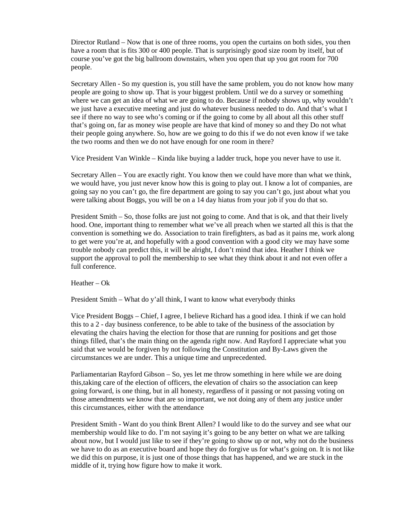Director Rutland – Now that is one of three rooms, you open the curtains on both sides, you then have a room that is fits 300 or 400 people. That is surprisingly good size room by itself, but of course you've got the big ballroom downstairs, when you open that up you got room for 700 people.

Secretary Allen - So my question is, you still have the same problem, you do not know how many people are going to show up. That is your biggest problem. Until we do a survey or something where we can get an idea of what we are going to do. Because if nobody shows up, why wouldn't we just have a executive meeting and just do whatever business needed to do. And that's what I see if there no way to see who's coming or if the going to come by all about all this other stuff that's going on, far as money wise people are have that kind of money so and they Do not what their people going anywhere. So, how are we going to do this if we do not even know if we take the two rooms and then we do not have enough for one room in there?

Vice President Van Winkle – Kinda like buying a ladder truck, hope you never have to use it.

Secretary Allen – You are exactly right. You know then we could have more than what we think, we would have, you just never know how this is going to play out. I know a lot of companies, are going say no you can't go, the fire department are going to say you can't go, just about what you were talking about Boggs, you will be on a 14 day hiatus from your job if you do that so.

President Smith – So, those folks are just not going to come. And that is ok, and that their lively hood. One, important thing to remember what we've all preach when we started all this is that the convention is something we do. Association to train firefighters, as bad as it pains me, work along to get were you're at, and hopefully with a good convention with a good city we may have some trouble nobody can predict this, it will be alright, I don't mind that idea. Heather I think we support the approval to poll the membership to see what they think about it and not even offer a full conference.

Heather  $-$  Ok

President Smith – What do y'all think, I want to know what everybody thinks

Vice President Boggs – Chief, I agree, I believe Richard has a good idea. I think if we can hold this to a 2 - day business conference, to be able to take of the business of the association by elevating the chairs having the election for those that are running for positions and get those things filled, that's the main thing on the agenda right now. And Rayford I appreciate what you said that we would be forgiven by not following the Constitution and By-Laws given the circumstances we are under. This a unique time and unprecedented.

Parliamentarian Rayford Gibson – So, yes let me throw something in here while we are doing this,taking care of the election of officers, the elevation of chairs so the association can keep going forward, is one thing, but in all honesty, regardless of it passing or not passing voting on those amendments we know that are so important, we not doing any of them any justice under this circumstances, either with the attendance

President Smith - Want do you think Brent Allen? I would like to do the survey and see what our membership would like to do. I'm not saying it's going to be any better on what we are talking about now, but I would just like to see if they're going to show up or not, why not do the business we have to do as an executive board and hope they do forgive us for what's going on. It is not like we did this on purpose, it is just one of those things that has happened, and we are stuck in the middle of it, trying how figure how to make it work.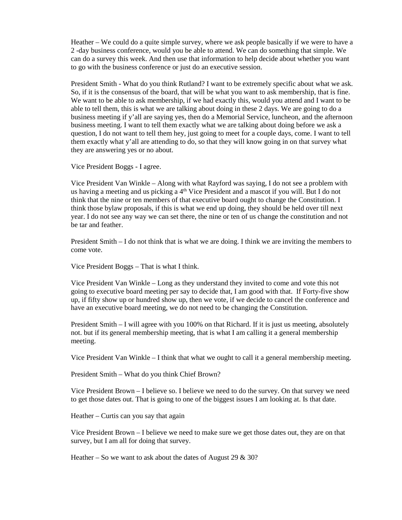Heather – We could do a quite simple survey, where we ask people basically if we were to have a 2 -day business conference, would you be able to attend. We can do something that simple. We can do a survey this week. And then use that information to help decide about whether you want to go with the business conference or just do an executive session.

President Smith - What do you think Rutland? I want to be extremely specific about what we ask. So, if it is the consensus of the board, that will be what you want to ask membership, that is fine. We want to be able to ask membership, if we had exactly this, would you attend and I want to be able to tell them, this is what we are talking about doing in these 2 days. We are going to do a business meeting if y'all are saying yes, then do a Memorial Service, luncheon, and the afternoon business meeting. I want to tell them exactly what we are talking about doing before we ask a question, I do not want to tell them hey, just going to meet for a couple days, come. I want to tell them exactly what y'all are attending to do, so that they will know going in on that survey what they are answering yes or no about.

Vice President Boggs - I agree.

Vice President Van Winkle – Along with what Rayford was saying, I do not see a problem with us having a meeting and us picking a 4<sup>th</sup> Vice President and a mascot if you will. But I do not think that the nine or ten members of that executive board ought to change the Constitution. I think those bylaw proposals, if this is what we end up doing, they should be held over till next year. I do not see any way we can set there, the nine or ten of us change the constitution and not be tar and feather.

President Smith – I do not think that is what we are doing. I think we are inviting the members to come vote.

Vice President Boggs – That is what I think.

Vice President Van Winkle – Long as they understand they invited to come and vote this not going to executive board meeting per say to decide that, I am good with that. If Forty-five show up, if fifty show up or hundred show up, then we vote, if we decide to cancel the conference and have an executive board meeting, we do not need to be changing the Constitution.

President Smith – I will agree with you 100% on that Richard. If it is just us meeting, absolutely not. but if its general membership meeting, that is what I am calling it a general membership meeting.

Vice President Van Winkle – I think that what we ought to call it a general membership meeting.

President Smith – What do you think Chief Brown?

Vice President Brown – I believe so. I believe we need to do the survey. On that survey we need to get those dates out. That is going to one of the biggest issues I am looking at. Is that date.

Heather – Curtis can you say that again

Vice President Brown – I believe we need to make sure we get those dates out, they are on that survey, but I am all for doing that survey.

Heather – So we want to ask about the dates of August 29  $\&$  30?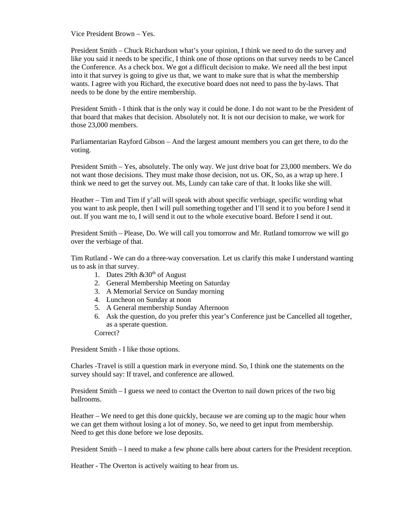Vice President Brown – Yes.

President Smith – Chuck Richardson what's your opinion, I think we need to do the survey and like you said it needs to be specific, I think one of those options on that survey needs to be Cancel the Conference. As a check box. We got a difficult decision to make. We need all the best input into it that survey is going to give us that, we want to make sure that is what the membership wants. I agree with you Richard, the executive board does not need to pass the by-laws. That needs to be done by the entire membership.

President Smith - I think that is the only way it could be done. I do not want to be the President of that board that makes that decision. Absolutely not. It is not our decision to make, we work for those 23,000 members.

Parliamentarian Rayford Gibson – And the largest amount members you can get there, to do the voting.

President Smith – Yes, absolutely. The only way. We just drive boat for 23,000 members. We do not want those decisions. They must make those decision, not us. OK, So, as a wrap up here. I think we need to get the survey out. Ms, Lundy can take care of that. It looks like she will.

Heather – Tim and Tim if y'all will speak with about specific verbiage, specific wording what you want to ask people, then I will pull something together and I'll send it to you before I send it out. If you want me to, I will send it out to the whole executive board. Before I send it out.

President Smith – Please, Do. We will call you tomorrow and Mr. Rutland tomorrow we will go over the verbiage of that.

Tim Rutland - We can do a three-way conversation. Let us clarify this make I understand wanting us to ask in that survey.

- 1. Dates 29th  $&30<sup>th</sup>$  of August
- 2. General Membership Meeting on Saturday
- 3. A Memorial Service on Sunday morning
- 4. Luncheon on Sunday at noon
- 5. A General membership Sunday Afternoon
- 6. Ask the question, do you prefer this year's Conference just be Cancelled all together, as a sperate question.
- Correct?

President Smith - I like those options.

Charles -Travel is still a question mark in everyone mind. So, I think one the statements on the survey should say: If travel, and conference are allowed.

President Smith – I guess we need to contact the Overton to nail down prices of the two big ballrooms.

Heather – We need to get this done quickly, because we are coming up to the magic hour when we can get them without losing a lot of money. So, we need to get input from membership. Need to get this done before we lose deposits.

President Smith – I need to make a few phone calls here about carters for the President reception.

Heather - The Overton is actively waiting to hear from us.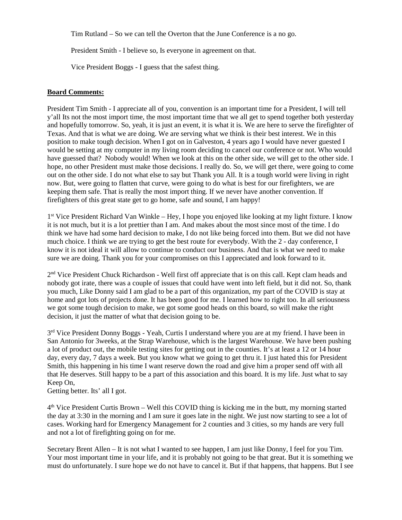Tim Rutland – So we can tell the Overton that the June Conference is a no go.

President Smith - I believe so, Is everyone in agreement on that.

Vice President Boggs - I guess that the safest thing.

## **Board Comments:**

President Tim Smith - I appreciate all of you, convention is an important time for a President, I will tell y'all Its not the most import time, the most important time that we all get to spend together both yesterday and hopefully tomorrow. So, yeah, it is just an event, it is what it is. We are here to serve the firefighter of Texas. And that is what we are doing. We are serving what we think is their best interest. We in this position to make tough decision. When I got on in Galveston, 4 years ago I would have never guested I would be setting at my computer in my living room deciding to cancel our conference or not. Who would have guessed that? Nobody would! When we look at this on the other side, we will get to the other side. I hope, no other President must make those decisions. I really do. So, we will get there, were going to come out on the other side. I do not what else to say but Thank you All. It is a tough world were living in right now. But, were going to flatten that curve, were going to do what is best for our firefighters, we are keeping them safe. That is really the most import thing. If we never have another convention. If firefighters of this great state get to go home, safe and sound, I am happy!

1st Vice President Richard Van Winkle – Hey, I hope you enjoyed like looking at my light fixture. I know it is not much, but it is a lot prettier than I am. And makes about the most since most of the time. I do think we have had some hard decision to make, I do not like being forced into them. But we did not have much choice. I think we are trying to get the best route for everybody. With the 2 - day conference, I know it is not ideal it will allow to continue to conduct our business. And that is what we need to make sure we are doing. Thank you for your compromises on this I appreciated and look forward to it.

2<sup>nd</sup> Vice President Chuck Richardson - Well first off appreciate that is on this call. Kept clam heads and nobody got irate, there was a couple of issues that could have went into left field, but it did not. So, thank you much, Like Donny said I am glad to be a part of this organization, my part of the COVID is stay at home and got lots of projects done. It has been good for me. I learned how to right too. In all seriousness we got some tough decision to make, we got some good heads on this board, so will make the right decision, it just the matter of what that decision going to be.

3rd Vice President Donny Boggs - Yeah, Curtis I understand where you are at my friend. I have been in San Antonio for 3weeks, at the Strap Warehouse, which is the largest Warehouse. We have been pushing a lot of product out, the mobile testing sites for getting out in the counties. It's at least a 12 or 14 hour day, every day, 7 days a week. But you know what we going to get thru it. I just hated this for President Smith, this happening in his time I want reserve down the road and give him a proper send off with all that He deserves. Still happy to be a part of this association and this board. It is my life. Just what to say Keep On,

Getting better. Its' all I got.

4th Vice President Curtis Brown – Well this COVID thing is kicking me in the butt, my morning started the day at 3:30 in the morning and I am sure it goes late in the night. We just now starting to see a lot of cases. Working hard for Emergency Management for 2 counties and 3 cities, so my hands are very full and not a lot of firefighting going on for me.

Secretary Brent Allen – It is not what I wanted to see happen, I am just like Donny, I feel for you Tim. Your most important time in your life, and it is probably not going to be that great. But it is something we must do unfortunately. I sure hope we do not have to cancel it. But if that happens, that happens. But I see